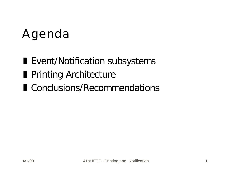# Agenda

- **Exent/Notification subsystems**
- **Printing Architecture**
- Conclusions/Recommendations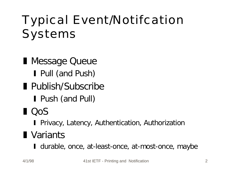# Typical Event/Notifcation Systems

- **Nessage Queue** Pull (and Push) **Publish/Subscribe Push (and Pull)**
- $\blacksquare$   $\bigcirc$  OOS
	- **I** Privacy, Latency, Authentication, Authorization

#### **N** Variants

I durable, once, at-least-once, at-most-once, maybe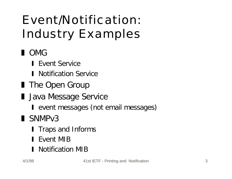# Event/Notification: Industry Examples

#### **D** OMG

- **I** Event Service
- **I** Notification Service
- **The Open Group**
- **I** Java Message Service
	- I event messages (not email messages)
- SNMP<sub>v3</sub>
	- **I** Traps and Informs
	- **I** Event MIB
	- **Notification MIB**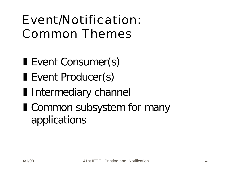## Event/Notification: Common Themes

- Event Consumer(s)
- Event Producer(s)
- **I** Intermediary channel
- **I** Common subsystem for many applications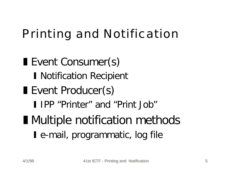## Printing and Notification

Event Consumer(s) I Notification Recipient Event Producer(s) **I** IPP "Printer" and "Print Job" **I** Multiple notification methods I e-mail, programmatic, log file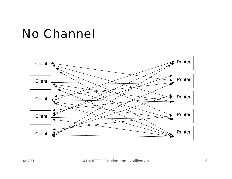#### No Channel

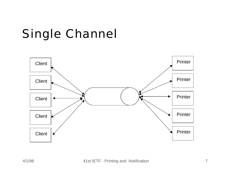# Single Channel

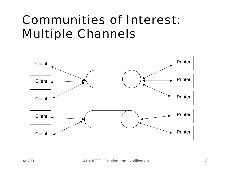## Communities of Interest: Multiple Channels

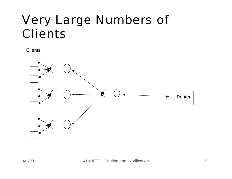## Very Large Numbers of **Clients**

**Clients** 

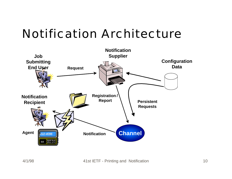#### Notification Architecture

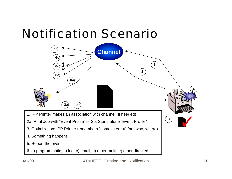#### Notification Scenario



6. a) programmatic; b) log; c) email; d) other multi; e) other directed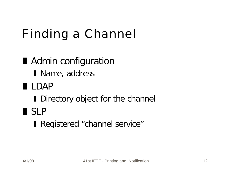# Finding a Channel

**Admin configuration** I Name, address z LDAP I Directory object for the channel l SLP **I** Registered "channel service"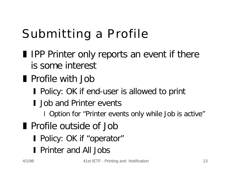# Submitting a Profile

- **I** IPP Printer only reports an event if there is some interest
- **Profile with Job** 
	- **Policy: OK if end-user is allowed to print**
	- I Job and Printer events
		- I Option for "Printer events only while Job is active"
- **Profile outside of Job** 
	- **Policy: OK if "operator"**
	- **Printer and All Jobs**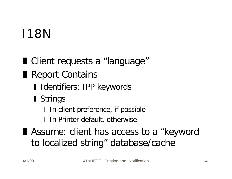# I18N

■ Client requests a "language" Report Contains I Identifiers: IPP keywords **Strings** 

I In client preference, if possible

I In Printer default, otherwise

■ Assume: client has access to a "keyword to localized string" database/cache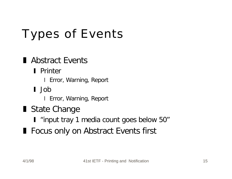# Types of Events

#### Abstract Events

#### **I** Printer

**I** Error, Warning, Report

y Job

**I** Error, Warning, Report

State Change

I "input tray 1 media count goes below 50"

**Focus only on Abstract Events first**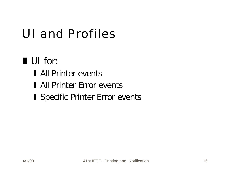## UI and Profiles

#### UI for:

- **I** All Printer events
- I All Printer Error events
- **I Specific Printer Error events**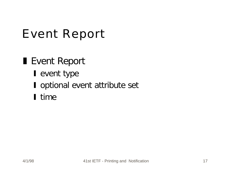#### Event Report

#### ■ Event Report

- $\blacksquare$  event type
- **I** optional event attribute set
- I time